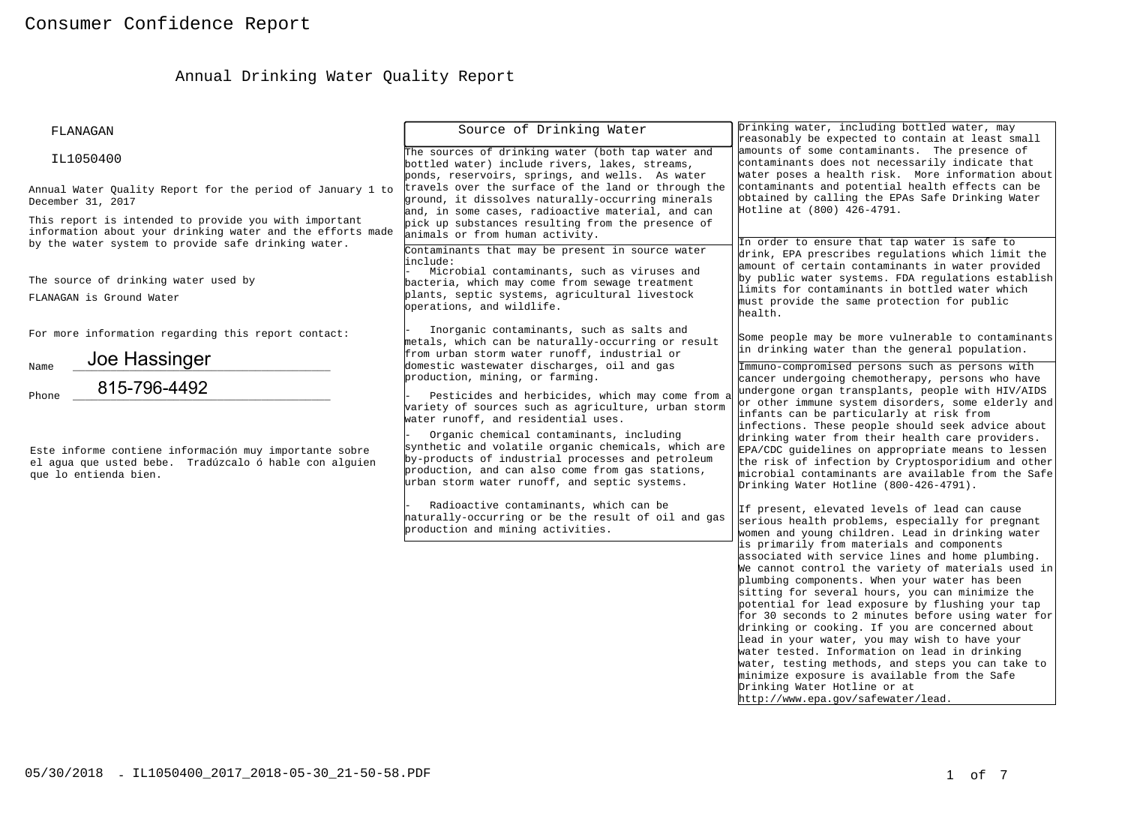# Annual Drinking Water Quality Report

| FLANAGAN                                                                                                                                                                   | Source of Drinking Water                                                                                                                                                                                                                                  | Drinking water, including bottled water, may<br>reasonably be expected to contain at least small                                                                                                                                                                                                                                                                                                                                                                                                                                                                                                                                                                                                                                                                                                                                                            |
|----------------------------------------------------------------------------------------------------------------------------------------------------------------------------|-----------------------------------------------------------------------------------------------------------------------------------------------------------------------------------------------------------------------------------------------------------|-------------------------------------------------------------------------------------------------------------------------------------------------------------------------------------------------------------------------------------------------------------------------------------------------------------------------------------------------------------------------------------------------------------------------------------------------------------------------------------------------------------------------------------------------------------------------------------------------------------------------------------------------------------------------------------------------------------------------------------------------------------------------------------------------------------------------------------------------------------|
| IL1050400                                                                                                                                                                  | The sources of drinking water (both tap water and<br>bottled water) include rivers, lakes, streams,<br>ponds, reservoirs, springs, and wells. As water                                                                                                    | amounts of some contaminants. The presence of<br>contaminants does not necessarily indicate that<br>water poses a health risk. More information about                                                                                                                                                                                                                                                                                                                                                                                                                                                                                                                                                                                                                                                                                                       |
| Annual Water Ouality Report for the period of January 1 to<br>December 31, 2017                                                                                            | travels over the surface of the land or through the<br>ground, it dissolves naturally-occurring minerals<br>and, in some cases, radioactive material, and can                                                                                             | contaminants and potential health effects can be<br>obtained by calling the EPAs Safe Drinking Water<br>Hotline at (800) 426-4791.                                                                                                                                                                                                                                                                                                                                                                                                                                                                                                                                                                                                                                                                                                                          |
| This report is intended to provide you with important<br>information about your drinking water and the efforts made<br>by the water system to provide safe drinking water. | pick up substances resulting from the presence of<br>animals or from human activity.                                                                                                                                                                      | In order to ensure that tap water is safe to                                                                                                                                                                                                                                                                                                                                                                                                                                                                                                                                                                                                                                                                                                                                                                                                                |
| The source of drinking water used by<br>FLANAGAN is Ground Water                                                                                                           | Contaminants that may be present in source water<br>include:<br>Microbial contaminants, such as viruses and<br>bacteria, which may come from sewage treatment<br>plants, septic systems, agricultural livestock<br>operations, and wildlife.              | drink, EPA prescribes regulations which limit the<br>amount of certain contaminants in water provided<br>by public water systems. FDA regulations establish<br>limits for contaminants in bottled water which<br>must provide the same protection for public<br>health.                                                                                                                                                                                                                                                                                                                                                                                                                                                                                                                                                                                     |
| For more information regarding this report contact:<br>Joe Hassinger                                                                                                       | Inorganic contaminants, such as salts and<br>metals, which can be naturally-occurring or result<br>from urban storm water runoff, industrial or                                                                                                           | Some people may be more vulnerable to contaminants<br>in drinking water than the general population.                                                                                                                                                                                                                                                                                                                                                                                                                                                                                                                                                                                                                                                                                                                                                        |
| Name<br>815-796-4492<br>Phone                                                                                                                                              | domestic wastewater discharges, oil and gas<br>production, mining, or farming.<br>Pesticides and herbicides, which may come from a<br>variety of sources such as agriculture, urban storm<br>water runoff, and residential uses.                          | Immuno-compromised persons such as persons with<br>cancer undergoing chemotherapy, persons who have<br>undergone organ transplants, people with HIV/AIDS<br>or other immune system disorders, some elderly and<br>infants can be particularly at risk from                                                                                                                                                                                                                                                                                                                                                                                                                                                                                                                                                                                                  |
| Este informe contiene información muy importante sobre<br>el aqua que usted bebe. Tradúzcalo ó hable con alquien<br>que lo entienda bien.                                  | Organic chemical contaminants, including<br>synthetic and volatile organic chemicals, which are<br>by-products of industrial processes and petroleum<br>production, and can also come from gas stations,<br>urban storm water runoff, and septic systems. | infections. These people should seek advice about<br>drinking water from their health care providers.<br>EPA/CDC guidelines on appropriate means to lessen<br>the risk of infection by Cryptosporidium and other<br>microbial contaminants are available from the Safe<br>Drinking Water Hotline (800-426-4791).                                                                                                                                                                                                                                                                                                                                                                                                                                                                                                                                            |
|                                                                                                                                                                            | Radioactive contaminants, which can be<br>haturally-occurring or be the result of oil and gas<br>production and mining activities.                                                                                                                        | If present, elevated levels of lead can cause<br>serious health problems, especially for pregnant<br>women and young children. Lead in drinking water<br>is primarily from materials and components<br>associated with service lines and home plumbing.<br>We cannot control the variety of materials used in<br>plumbing components. When your water has been<br>sitting for several hours, you can minimize the<br>potential for lead exposure by flushing your tap<br>for 30 seconds to 2 minutes before using water for<br>drinking or cooking. If you are concerned about<br>lead in your water, you may wish to have your<br>water tested. Information on lead in drinking<br>water, testing methods, and steps you can take to<br>minimize exposure is available from the Safe<br>Drinking Water Hotline or at<br>http://www.epa.gov/safewater/lead. |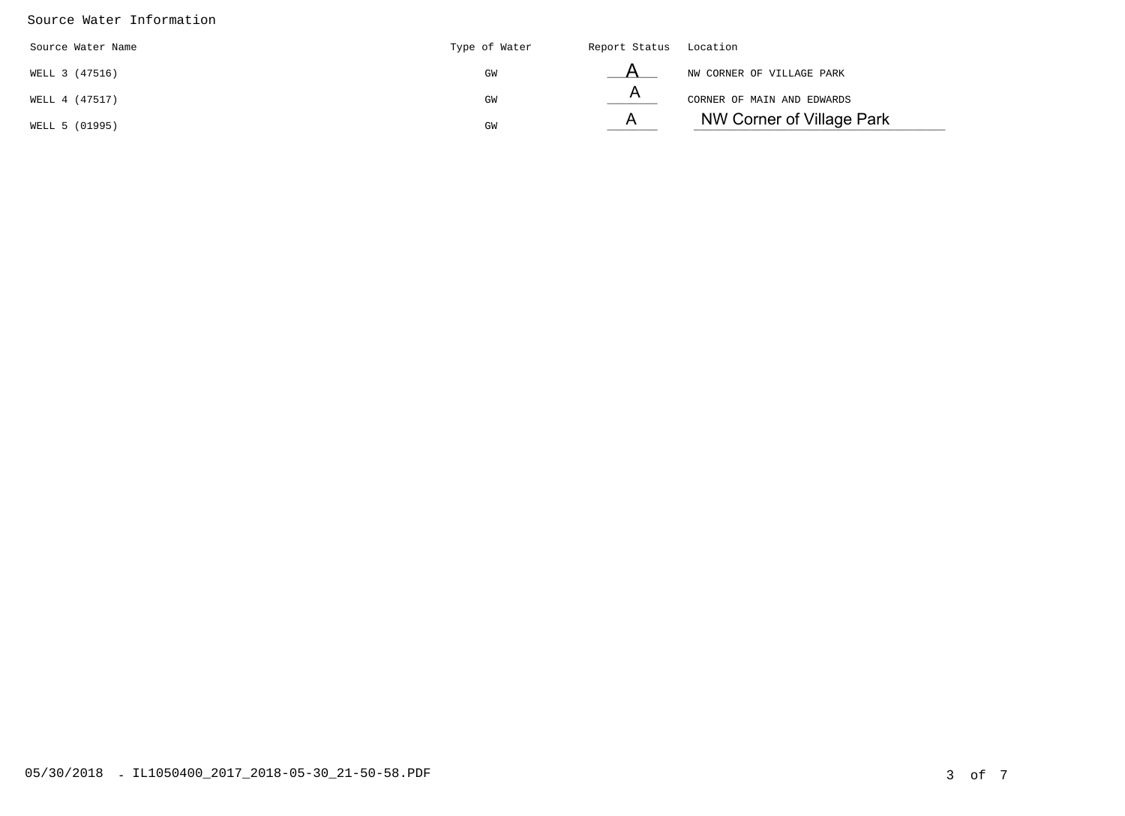### Source Water Information

| Source Water Name | Type of Water | Report Status Location |                            |
|-------------------|---------------|------------------------|----------------------------|
| WELL 3 (47516)    | GM            |                        | NW CORNER OF VILLAGE PARK  |
| WELL 4 (47517)    | GW            |                        | CORNER OF MAIN AND EDWARDS |
| WELL 5 (01995)    | GM            | $\mathsf{A}$           | NW Corner of Village Park  |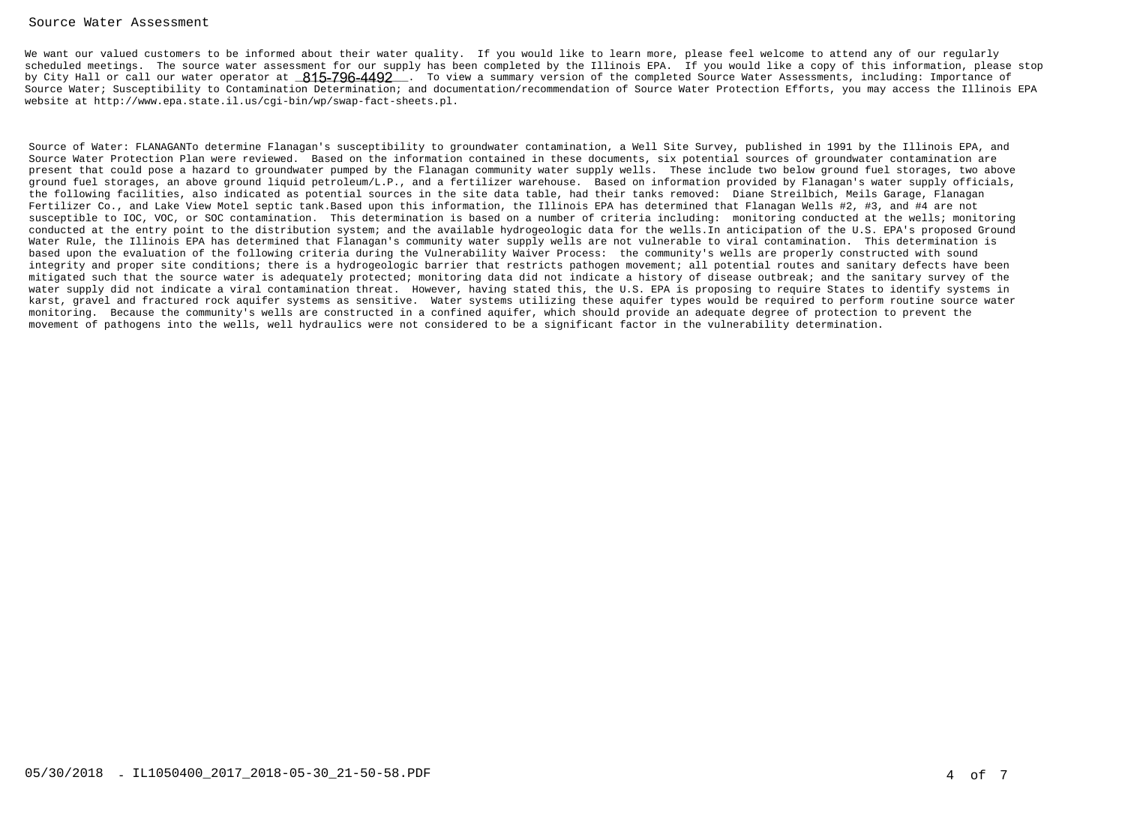### Source Water Assessment

We want our valued customers to be informed about their water quality. If you would like to learn more, please feel welcome to attend any of our regularly scheduled meetings. The source water assessment for our supply has been completed by the Illinois EPA. If you would like a copy of this information, please stopby City Hall or call our water operator at \_<mark>815-796-4492</mark> \_. To view a summary version of the completed Source Water Assessments, including: Importance of Source Water; Susceptibility to Contamination Determination; and documentation/recommendation of Source Water Protection Efforts, you may access the Illinois EPAwebsite at http://www.epa.state.il.us/cgi-bin/wp/swap-fact-sheets.pl.

Source of Water: FLANAGANTo determine Flanagan's susceptibility to groundwater contamination, a Well Site Survey, published in 1991 by the Illinois EPA, andSource Water Protection Plan were reviewed. Based on the information contained in these documents, six potential sources of groundwater contamination are present that could pose a hazard to groundwater pumped by the Flanagan community water supply wells. These include two below ground fuel storages, two above ground fuel storages, an above ground liquid petroleum/L.P., and a fertilizer warehouse. Based on information provided by Flanagan's water supply officials,the following facilities, also indicated as potential sources in the site data table, had their tanks removed: Diane Streilbich, Meils Garage, Flanagan Fertilizer Co., and Lake View Motel septic tank.Based upon this information, the Illinois EPA has determined that Flanagan Wells #2, #3, and #4 are not susceptible to IOC, VOC, or SOC contamination. This determination is based on a number of criteria including: monitoring conducted at the wells; monitoring conducted at the entry point to the distribution system; and the available hydrogeologic data for the wells.In anticipation of the U.S. EPA's proposed GroundWater Rule, the Illinois EPA has determined that Flanagan's community water supply wells are not vulnerable to viral contamination. This determination isbased upon the evaluation of the following criteria during the Vulnerability Waiver Process: the community's wells are properly constructed with sound integrity and proper site conditions; there is a hydrogeologic barrier that restricts pathogen movement; all potential routes and sanitary defects have been mitigated such that the source water is adequately protected; monitoring data did not indicate a history of disease outbreak; and the sanitary survey of the water supply did not indicate a viral contamination threat. However, having stated this, the U.S. EPA is proposing to require States to identify systems in karst, gravel and fractured rock aquifer systems as sensitive. Water systems utilizing these aquifer types would be required to perform routine source watermonitoring. Because the community's wells are constructed in a confined aquifer, which should provide an adequate degree of protection to prevent themovement of pathogens into the wells, well hydraulics were not considered to be a significant factor in the vulnerability determination.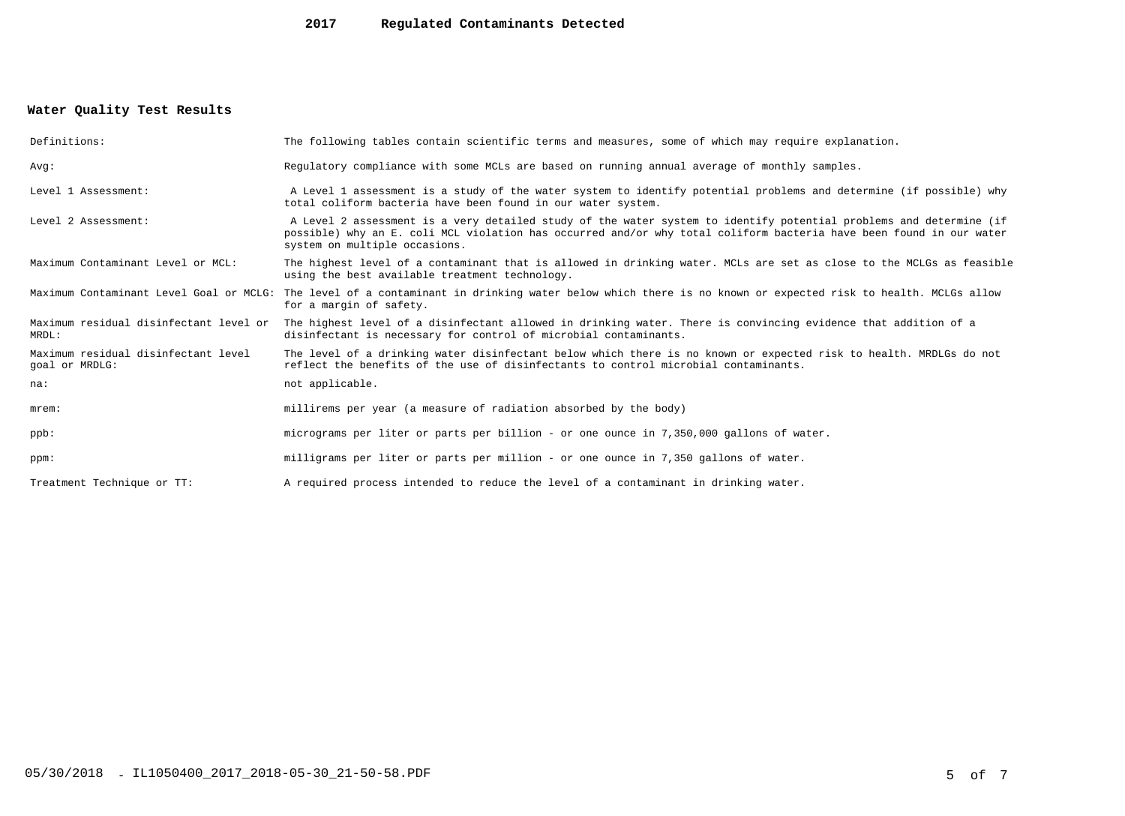#### **2017Regulated Contaminants Detected**

## **Water Quality Test Results**

| Definitions:                                          | The following tables contain scientific terms and measures, some of which may require explanation.                                                                                                                                                                         |
|-------------------------------------------------------|----------------------------------------------------------------------------------------------------------------------------------------------------------------------------------------------------------------------------------------------------------------------------|
| Avq:                                                  | Requiatory compliance with some MCLs are based on running annual average of monthly samples.                                                                                                                                                                               |
| Level 1 Assessment:                                   | A Level 1 assessment is a study of the water system to identify potential problems and determine (if possible) why<br>total coliform bacteria have been found in our water system.                                                                                         |
| Level 2 Assessment:                                   | A Level 2 assessment is a very detailed study of the water system to identify potential problems and determine (if<br>possible) why an E. coli MCL violation has occurred and/or why total coliform bacteria have been found in our water<br>system on multiple occasions. |
| Maximum Contaminant Level or MCL:                     | The highest level of a contaminant that is allowed in drinking water. MCLs are set as close to the MCLGs as feasible<br>using the best available treatment technology.                                                                                                     |
| Maximum Contaminant Level Goal or MCLG:               | The level of a contaminant in drinking water below which there is no known or expected risk to health. MCLGs allow<br>for a margin of safety.                                                                                                                              |
| Maximum residual disinfectant level or<br>MRDL:       | The highest level of a disinfectant allowed in drinking water. There is convincing evidence that addition of a<br>disinfectant is necessary for control of microbial contaminants.                                                                                         |
| Maximum residual disinfectant level<br>goal or MRDLG: | The level of a drinking water disinfectant below which there is no known or expected risk to health. MRDLGs do not<br>reflect the benefits of the use of disinfectants to control microbial contaminants.                                                                  |
| na:                                                   | not applicable.                                                                                                                                                                                                                                                            |
| $m$ rem:                                              | millirems per year (a measure of radiation absorbed by the body)                                                                                                                                                                                                           |
| ppb:                                                  | micrograms per liter or parts per billion - or one ounce in 7,350,000 gallons of water.                                                                                                                                                                                    |
| ppm:                                                  | milligrams per liter or parts per million - or one ounce in 7,350 gallons of water.                                                                                                                                                                                        |
| Treatment Technique or TT:                            | A required process intended to reduce the level of a contaminant in drinking water.                                                                                                                                                                                        |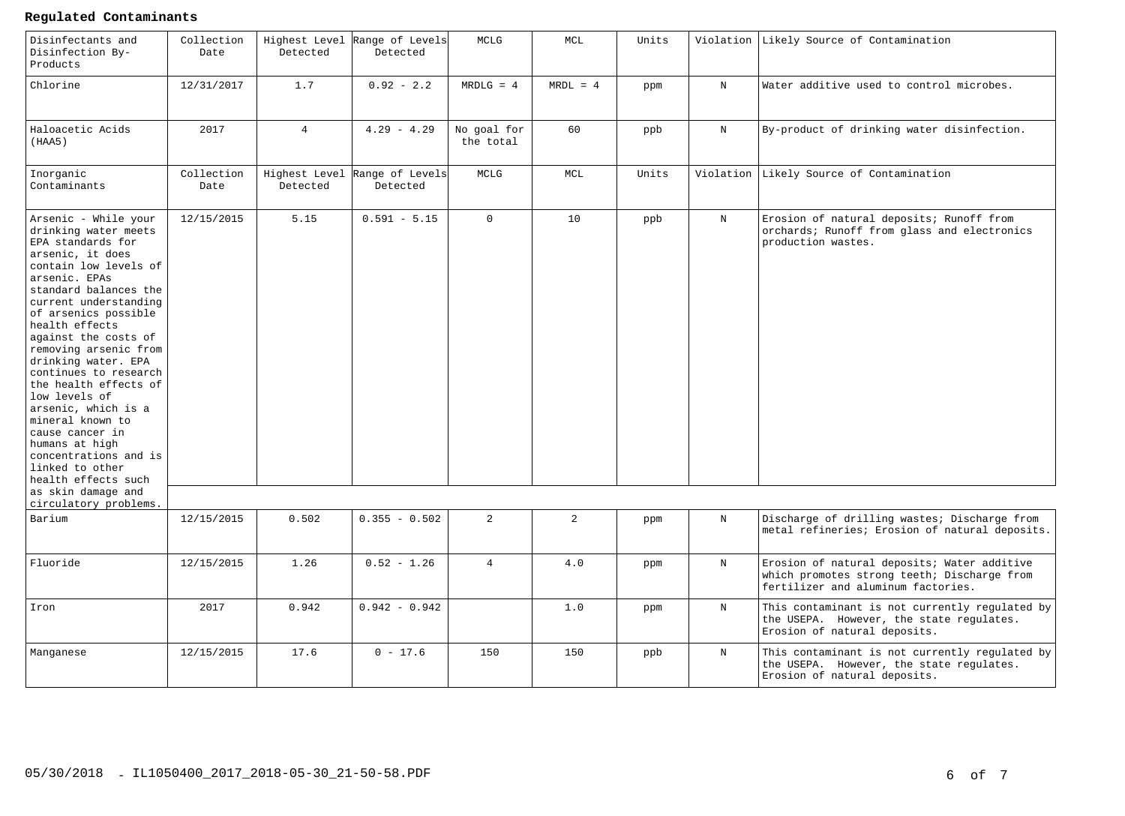### **Regulated Contaminants**

| Disinfectants and<br>Disinfection By-<br>Products                                                                                                                                                                                                                                                                                                                                                                                                                                                                         | Collection<br>Date | Detected       | Highest Level Range of Levels<br>Detected | MCLG                     | MCL            | Units |             | Violation Likely Source of Contamination                                                                                         |
|---------------------------------------------------------------------------------------------------------------------------------------------------------------------------------------------------------------------------------------------------------------------------------------------------------------------------------------------------------------------------------------------------------------------------------------------------------------------------------------------------------------------------|--------------------|----------------|-------------------------------------------|--------------------------|----------------|-------|-------------|----------------------------------------------------------------------------------------------------------------------------------|
| Chlorine                                                                                                                                                                                                                                                                                                                                                                                                                                                                                                                  | 12/31/2017         | 1.7            | $0.92 - 2.2$                              | $MRDLG = 4$              | $MRDL = 4$     | ppm   | $\rm N$     | Water additive used to control microbes.                                                                                         |
| Haloacetic Acids<br>(HAA5)                                                                                                                                                                                                                                                                                                                                                                                                                                                                                                | 2017               | $\overline{4}$ | $4.29 - 4.29$                             | No goal for<br>the total | 60             | ppb   | $\mathbf N$ | By-product of drinking water disinfection.                                                                                       |
| Inorganic<br>Contaminants                                                                                                                                                                                                                                                                                                                                                                                                                                                                                                 | Collection<br>Date | Detected       | Highest Level Range of Levels<br>Detected | MCLG                     | MCL            | Units | Violation   | Likely Source of Contamination                                                                                                   |
| Arsenic - While your<br>drinking water meets<br>EPA standards for<br>arsenic, it does<br>contain low levels of<br>arsenic. EPAs<br>standard balances the<br>current understanding<br>of arsenics possible<br>health effects<br>against the costs of<br>removing arsenic from<br>drinking water. EPA<br>continues to research<br>the health effects of<br>low levels of<br>arsenic, which is a<br>mineral known to<br>cause cancer in<br>humans at high<br>concentrations and is<br>linked to other<br>health effects such | 12/15/2015         | 5.15           | $0.591 - 5.15$                            | $\Omega$                 | 10             | ppb   | $_{\rm N}$  | Erosion of natural deposits; Runoff from<br>orchards; Runoff from glass and electronics<br>production wastes.                    |
| as skin damage and<br>circulatory problems.                                                                                                                                                                                                                                                                                                                                                                                                                                                                               |                    |                |                                           |                          |                |       |             |                                                                                                                                  |
| Barium                                                                                                                                                                                                                                                                                                                                                                                                                                                                                                                    | 12/15/2015         | 0.502          | $0.355 - 0.502$                           | $\overline{a}$           | $\overline{2}$ | ppm   | $\mathbf N$ | Discharge of drilling wastes; Discharge from<br>metal refineries; Erosion of natural deposits.                                   |
| Fluoride                                                                                                                                                                                                                                                                                                                                                                                                                                                                                                                  | 12/15/2015         | 1.26           | $0.52 - 1.26$                             | $\overline{4}$           | 4.0            | ppm   | $\mathbf N$ | Erosion of natural deposits; Water additive<br>which promotes strong teeth; Discharge from<br>fertilizer and aluminum factories. |
| Iron                                                                                                                                                                                                                                                                                                                                                                                                                                                                                                                      | 2017               | 0.942          | $0.942 - 0.942$                           |                          | 1.0            | ppm   | N           | This contaminant is not currently regulated by<br>the USEPA. However, the state regulates.<br>Erosion of natural deposits.       |
| Manganese                                                                                                                                                                                                                                                                                                                                                                                                                                                                                                                 | 12/15/2015         | 17.6           | $0 - 17.6$                                | 150                      | 150            | ppb   | $\mathbf N$ | This contaminant is not currently regulated by<br>the USEPA. However, the state regulates.<br>Erosion of natural deposits.       |